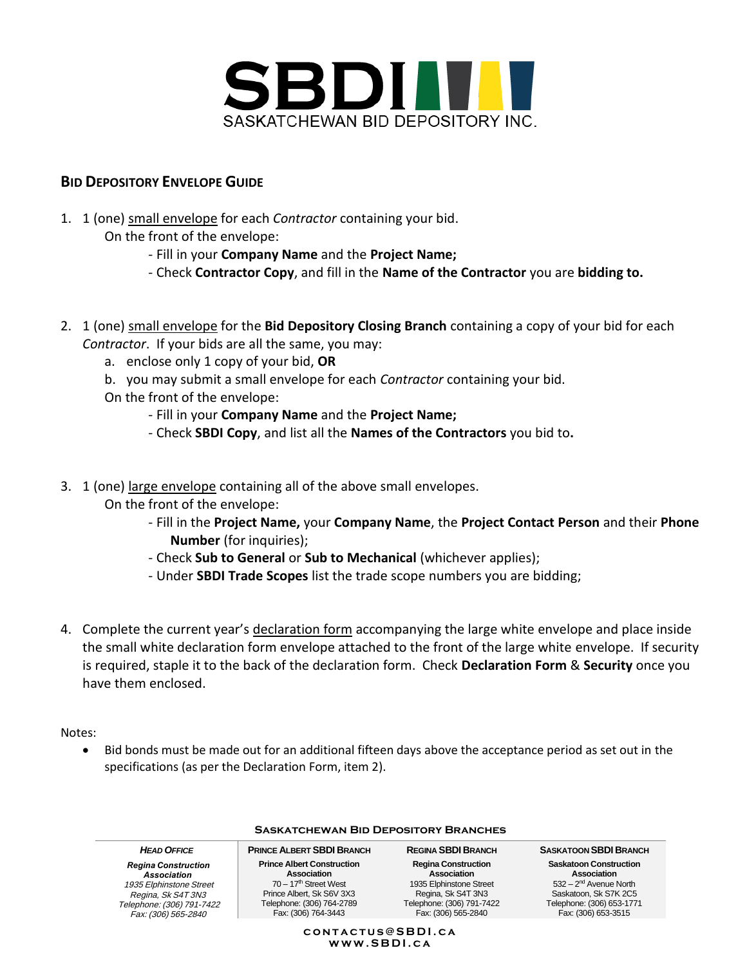

## **BID DEPOSITORY ENVELOPE GUIDE**

- 1. 1 (one) small envelope for each *Contractor* containing your bid.
	- On the front of the envelope:
		- Fill in your **Company Name** and the **Project Name;**
		- Check **Contractor Copy**, and fill in the **Name of the Contractor** you are **bidding to.**
- 2. 1 (one) small envelope for the **Bid Depository Closing Branch** containing a copy of your bid for each *Contractor*. If your bids are all the same, you may:
	- a. enclose only 1 copy of your bid, **OR**
	- b. you may submit a small envelope for each *Contractor* containing your bid.
	- On the front of the envelope:
		- Fill in your **Company Name** and the **Project Name;**
		- Check **SBDI Copy**, and list all the **Names of the Contractors** you bid to**.**
- 3. 1 (one) large envelope containing all of the above small envelopes.
	- On the front of the envelope:
		- Fill in the **Project Name,** your **Company Name**, the **Project Contact Person** and their **Phone Number** (for inquiries);
		- Check **Sub to General** or **Sub to Mechanical** (whichever applies);
		- Under **SBDI Trade Scopes** list the trade scope numbers you are bidding;
- 4. Complete the current year's declaration form accompanying the large white envelope and place inside the small white declaration form envelope attached to the front of the large white envelope. If security is required, staple it to the back of the declaration form. Check **Declaration Form** & **Security** once you have them enclosed.

Notes:

• Bid bonds must be made out for an additional fifteen days above the acceptance period as set out in the specifications (as per the Declaration Form, item 2).

| <b>SASKATCHEWAN BID DEPOSITORY BRANCHES</b>                                                                                                    |                                                                                                                                                              |                                                                                                                                                |                                                                                                                                                       |
|------------------------------------------------------------------------------------------------------------------------------------------------|--------------------------------------------------------------------------------------------------------------------------------------------------------------|------------------------------------------------------------------------------------------------------------------------------------------------|-------------------------------------------------------------------------------------------------------------------------------------------------------|
| <b>HEAD OFFICE</b>                                                                                                                             | <b>PRINCE ALBERT SBDI BRANCH</b>                                                                                                                             | <b>REGINA SBDI BRANCH</b>                                                                                                                      | <b>SASKATOON SBDI BRANCH</b>                                                                                                                          |
| <b>Regina Construction</b><br>Association<br>1935 Elphinstone Street<br>Regina, Sk S4T 3N3<br>Telephone: (306) 791-7422<br>Fax: (306) 565-2840 | <b>Prince Albert Construction</b><br>Association<br>$70 - 17th$ Street West<br>Prince Albert, Sk S6V 3X3<br>Telephone: (306) 764-2789<br>Fax: (306) 764-3443 | <b>Regina Construction</b><br>Association<br>1935 Elphinstone Street<br>Regina, Sk S4T 3N3<br>Telephone: (306) 791-7422<br>Fax: (306) 565-2840 | <b>Saskatoon Construction</b><br>Association<br>$532 - 2nd$ Avenue North<br>Saskatoon. Sk S7K 2C5<br>Telephone: (306) 653-1771<br>Fax: (306) 653-3515 |

### **c o n t a c t u s @ S B D I . c a w w w . S B D I . c a**